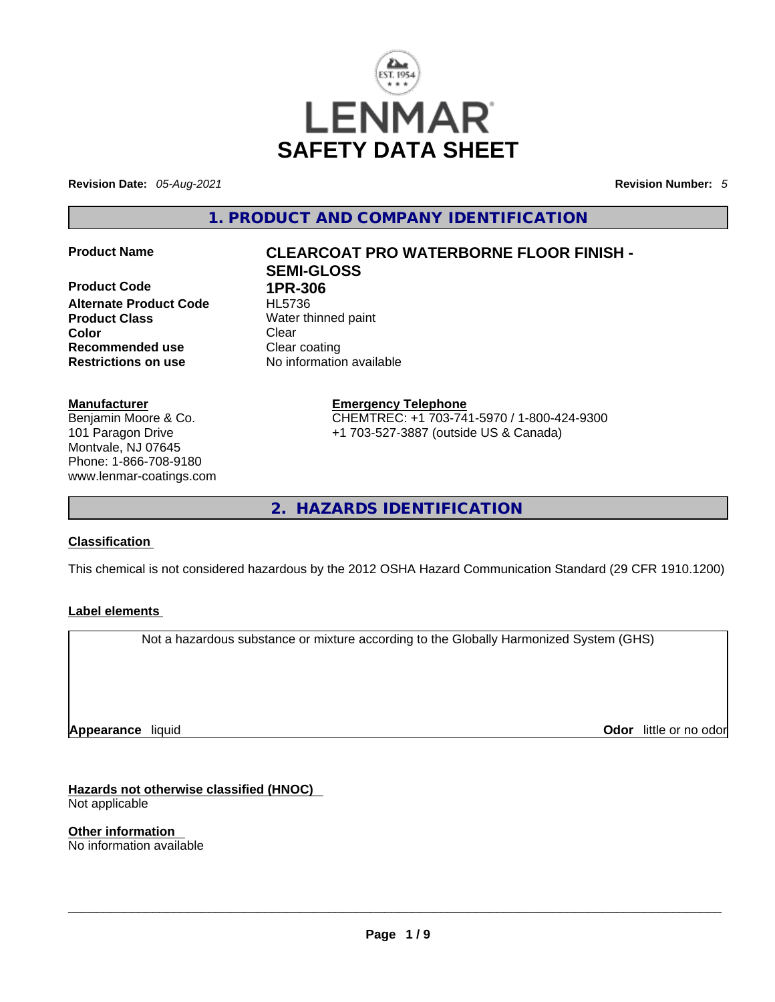

**Revision Date:** *05-Aug-2021* **Revision Number:** *5*

**1. PRODUCT AND COMPANY IDENTIFICATION** 

**Product Code 1PR-306 Alternate Product Code** HL5736 **Product Class Water thinned paint Color Clear Recommended use Clear coating<br>
<b>Restrictions on use** No information

### **Manufacturer**

Benjamin Moore & Co. 101 Paragon Drive Montvale, NJ 07645 Phone: 1-866-708-9180 www.lenmar-coatings.com

# **Product Name CLEARCOAT PRO WATERBORNE FLOOR FINISH - SEMI-GLOSS**

**Restrictions on use** No information available

**Emergency Telephone** CHEMTREC: +1 703-741-5970 / 1-800-424-9300 +1 703-527-3887 (outside US & Canada)

**2. HAZARDS IDENTIFICATION** 

### **Classification**

This chemical is not considered hazardous by the 2012 OSHA Hazard Communication Standard (29 CFR 1910.1200)

### **Label elements**

Not a hazardous substance or mixture according to the Globally Harmonized System (GHS)

**Appearance** liquid

**Odor** little or no odor

**Hazards not otherwise classified (HNOC)**  Not applicable

**Other information**  No information available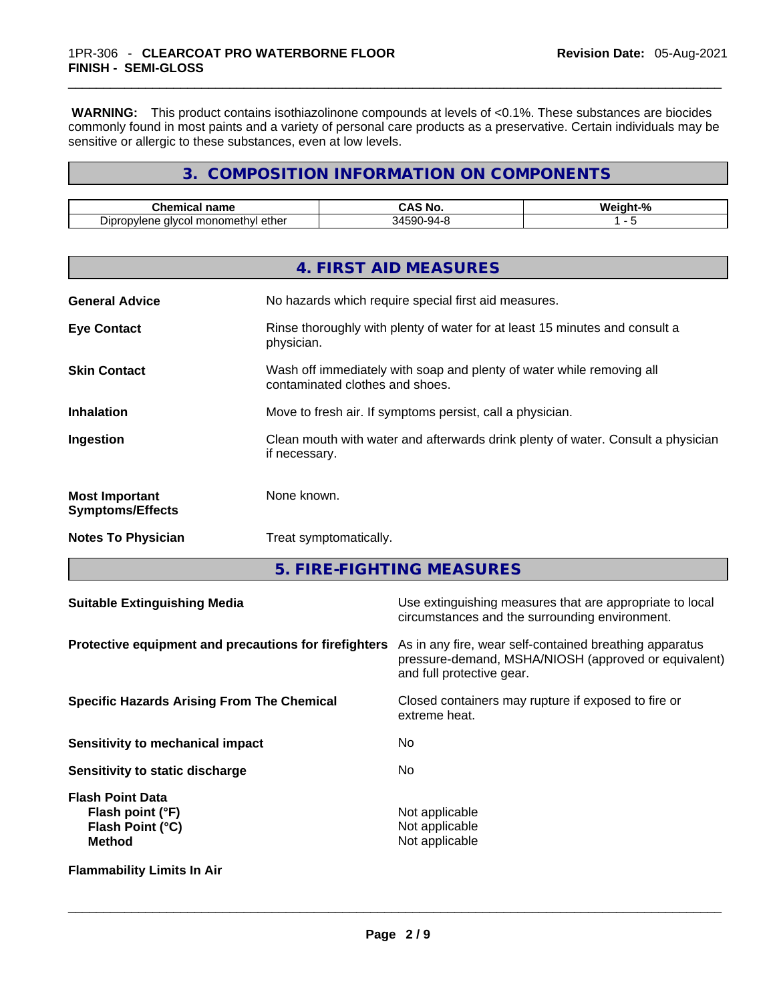**WARNING:** This product contains isothiazolinone compounds at levels of <0.1%. These substances are biocides commonly found in most paints and a variety of personal care products as a preservative. Certain individuals may be sensitive or allergic to these substances, even at low levels.

## **3. COMPOSITION INFORMATION ON COMPONENTS**

| n <sub>mn</sub><br>∴her ∶<br>шса<br>ĸ<br>нa<br>______ | NG                 | W.<br>-15 |
|-------------------------------------------------------|--------------------|-----------|
| ethe.<br>)ınr<br>alvo<br><u>- ۱۱/۱۵۳</u><br>non<br>.  | :90<br>.,<br>$-21$ |           |

|                                                  | 4. FIRST AID MEASURES                                                                                    |
|--------------------------------------------------|----------------------------------------------------------------------------------------------------------|
| <b>General Advice</b>                            | No hazards which require special first aid measures.                                                     |
| <b>Eye Contact</b>                               | Rinse thoroughly with plenty of water for at least 15 minutes and consult a<br>physician.                |
| <b>Skin Contact</b>                              | Wash off immediately with soap and plenty of water while removing all<br>contaminated clothes and shoes. |
| <b>Inhalation</b>                                | Move to fresh air. If symptoms persist, call a physician.                                                |
| Ingestion                                        | Clean mouth with water and afterwards drink plenty of water. Consult a physician<br>if necessary.        |
| <b>Most Important</b><br><b>Symptoms/Effects</b> | None known.                                                                                              |
| <b>Notes To Physician</b>                        | Treat symptomatically.                                                                                   |

**5. FIRE-FIGHTING MEASURES** 

| <b>Suitable Extinguishing Media</b>                                              | Use extinguishing measures that are appropriate to local<br>circumstances and the surrounding environment.                                   |
|----------------------------------------------------------------------------------|----------------------------------------------------------------------------------------------------------------------------------------------|
| Protective equipment and precautions for firefighters                            | As in any fire, wear self-contained breathing apparatus<br>pressure-demand, MSHA/NIOSH (approved or equivalent)<br>and full protective gear. |
| <b>Specific Hazards Arising From The Chemical</b>                                | Closed containers may rupture if exposed to fire or<br>extreme heat.                                                                         |
| Sensitivity to mechanical impact                                                 | No.                                                                                                                                          |
| Sensitivity to static discharge                                                  | No.                                                                                                                                          |
| <b>Flash Point Data</b><br>Flash point (°F)<br>Flash Point (°C)<br><b>Method</b> | Not applicable<br>Not applicable<br>Not applicable                                                                                           |
| <b>Flammability Limits In Air</b>                                                |                                                                                                                                              |
|                                                                                  |                                                                                                                                              |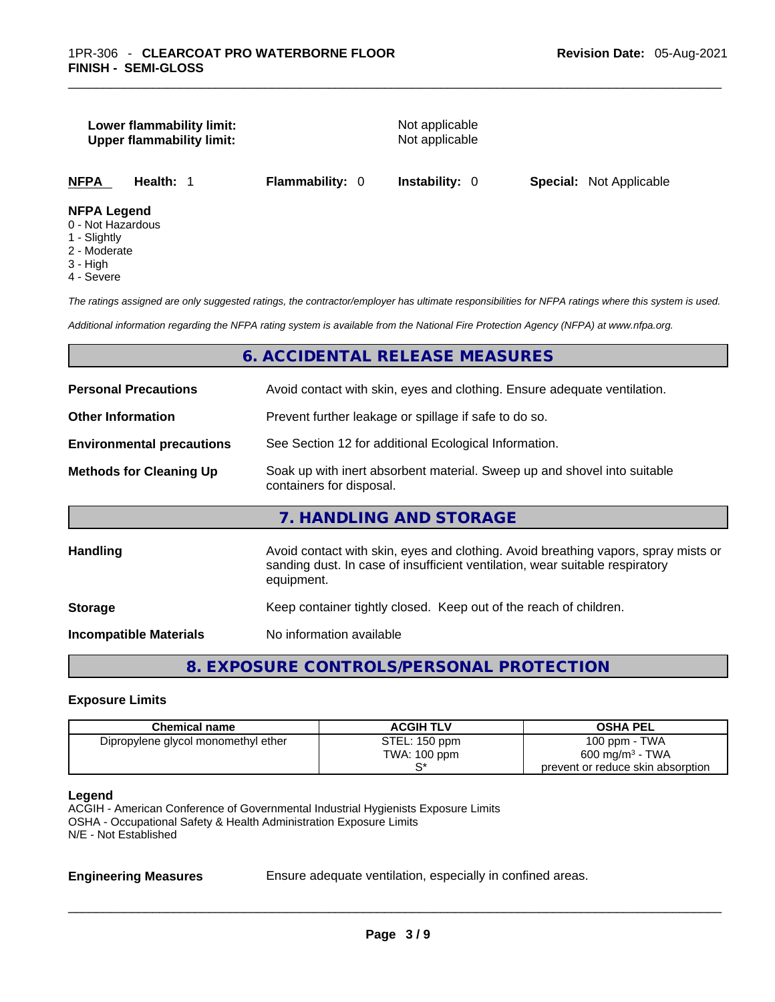### **Lower flammability limit:** Not applicable **Upper flammability limit:** Not applicable

**NFPA Health:** 1 **Flammability:** 0 **Instability:** 0 **Special:** Not Applicable

### **NFPA Legend**

- 0 Not Hazardous
- 1 Slightly
- 2 Moderate
- 3 High
- 4 Severe

*The ratings assigned are only suggested ratings, the contractor/employer has ultimate responsibilities for NFPA ratings where this system is used.* 

*Additional information regarding the NFPA rating system is available from the National Fire Protection Agency (NFPA) at www.nfpa.org.* 

### **6. ACCIDENTAL RELEASE MEASURES**

| <b>Personal Precautions</b>      | Avoid contact with skin, eyes and clothing. Ensure adequate ventilation.                                                                                                         |
|----------------------------------|----------------------------------------------------------------------------------------------------------------------------------------------------------------------------------|
| <b>Other Information</b>         | Prevent further leakage or spillage if safe to do so.                                                                                                                            |
| <b>Environmental precautions</b> | See Section 12 for additional Ecological Information.                                                                                                                            |
| <b>Methods for Cleaning Up</b>   | Soak up with inert absorbent material. Sweep up and shovel into suitable<br>containers for disposal.                                                                             |
|                                  | 7. HANDLING AND STORAGE                                                                                                                                                          |
| Handling                         | Avoid contact with skin, eyes and clothing. Avoid breathing vapors, spray mists or<br>sanding dust. In case of insufficient ventilation, wear suitable respiratory<br>equipment. |
| <b>Storage</b>                   | Keep container tightly closed. Keep out of the reach of children.                                                                                                                |
| <b>Incompatible Materials</b>    | No information available                                                                                                                                                         |
|                                  |                                                                                                                                                                                  |

**8. EXPOSURE CONTROLS/PERSONAL PROTECTION** 

### **Exposure Limits**

| <b>Chemical name</b>                | <b>ACGIH TLV</b> | <b>OSHA PEL</b>                   |
|-------------------------------------|------------------|-----------------------------------|
| Dipropylene glycol monomethyl ether | STEL: 150 ppm    | 100 ppm - TWA                     |
|                                     | TWA: 100 ppm     | $600 \text{ mg/m}^3$ - TWA        |
|                                     | c۰               | prevent or reduce skin absorption |

### **Legend**

ACGIH - American Conference of Governmental Industrial Hygienists Exposure Limits OSHA - Occupational Safety & Health Administration Exposure Limits N/E - Not Established

**Engineering Measures** Ensure adequate ventilation, especially in confined areas.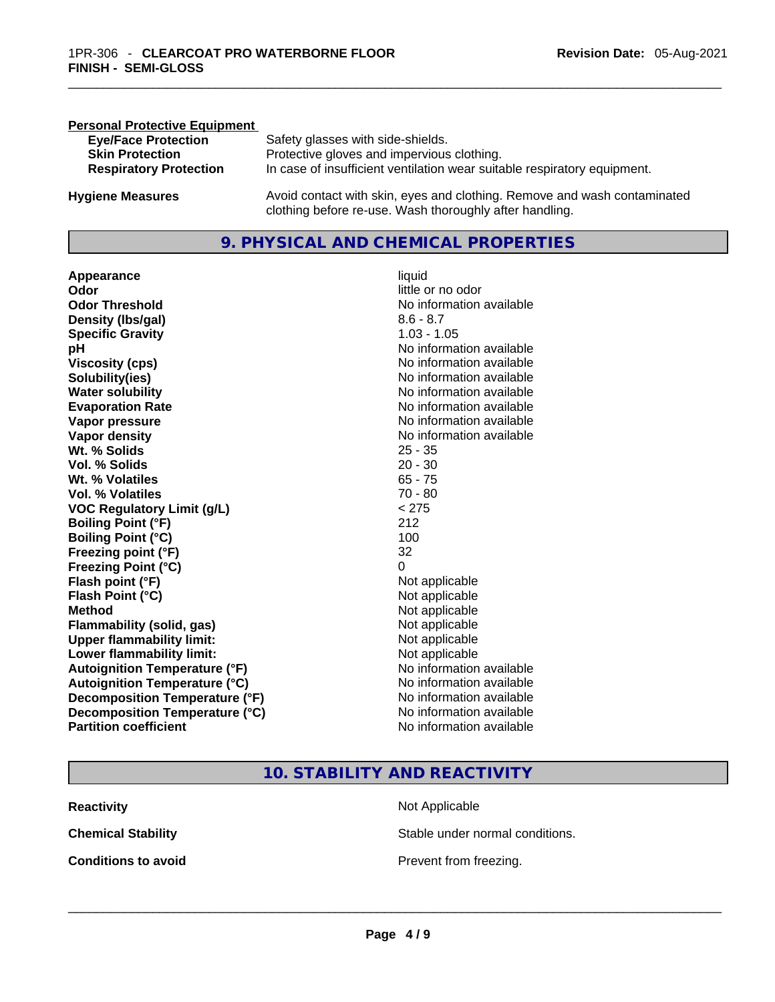| <b>Personal Protective Equipment</b> |                                                                                                                                     |
|--------------------------------------|-------------------------------------------------------------------------------------------------------------------------------------|
| <b>Eye/Face Protection</b>           | Safety glasses with side-shields.                                                                                                   |
| <b>Skin Protection</b>               | Protective gloves and impervious clothing.                                                                                          |
| <b>Respiratory Protection</b>        | In case of insufficient ventilation wear suitable respiratory equipment.                                                            |
| <b>Hygiene Measures</b>              | Avoid contact with skin, eyes and clothing. Remove and wash contaminated<br>clothing before re-use. Wash thoroughly after handling. |

### **9. PHYSICAL AND CHEMICAL PROPERTIES**

**Appearance** liquid **Odor Odor Odor Odor Odor Odor** *little* **or no odor Odor Threshold** No information available **Density (Ibs/gal)** 8.6 - 8.7<br> **Specific Gravity** 8.6 - 8.7 **Specific Gravity pH pH No** information available **Viscosity (cps) Viscosity (cps) No information available Solubility(ies)** No information available **Evaporation Rate No information available No information available Vapor pressure**  No information available **No information** available **Vapor density No information available No** information available **Wt. % Solids** 25 - 35 **Vol. % Solids** <br> **20 - 30<br>
Wt. % Volatiles** 65 - 75 **Wt. % Volatiles Vol. % Volatiles** 70 - 80 **VOC** Regulatory Limit (g/L) **Boiling Point (°F)** 212 **Boiling Point (°C)** 100 **Freezing point (°F)** 32 **Freezing Point (°C)** 0 **Flash point (°F)** Not applicable **Flash Point (°C)** Not applicable **Method** Not applicable **Flammability (solid, gas)** Not applicable **Upper flammability limit:**<br> **Lower flammability limit:**<br>
Not applicable<br>
Not applicable **Lower flammability limit:**<br> **Autoignition Temperature (°F)** Not applicable Not applicable **Autoignition Temperature (°F)**<br> **Autoignition Temperature (°C)** No information available **Autoignition Temperature (°C) Decomposition Temperature (°F)** No information available **Decomposition Temperature (°C)** No information available **Partition coefficient Community Contract Contract Contract Contract Contract Contract Contract Contract Contract Contract Contract Contract Contract Contract Contract Contract Contract Contract Contract Contract Contr** 

# **No information available**

### **10. STABILITY AND REACTIVITY**

| <b>Reactivity</b>          | Not Applicable                  |
|----------------------------|---------------------------------|
| <b>Chemical Stability</b>  | Stable under normal conditions. |
| <b>Conditions to avoid</b> | Prevent from freezing.          |
|                            |                                 |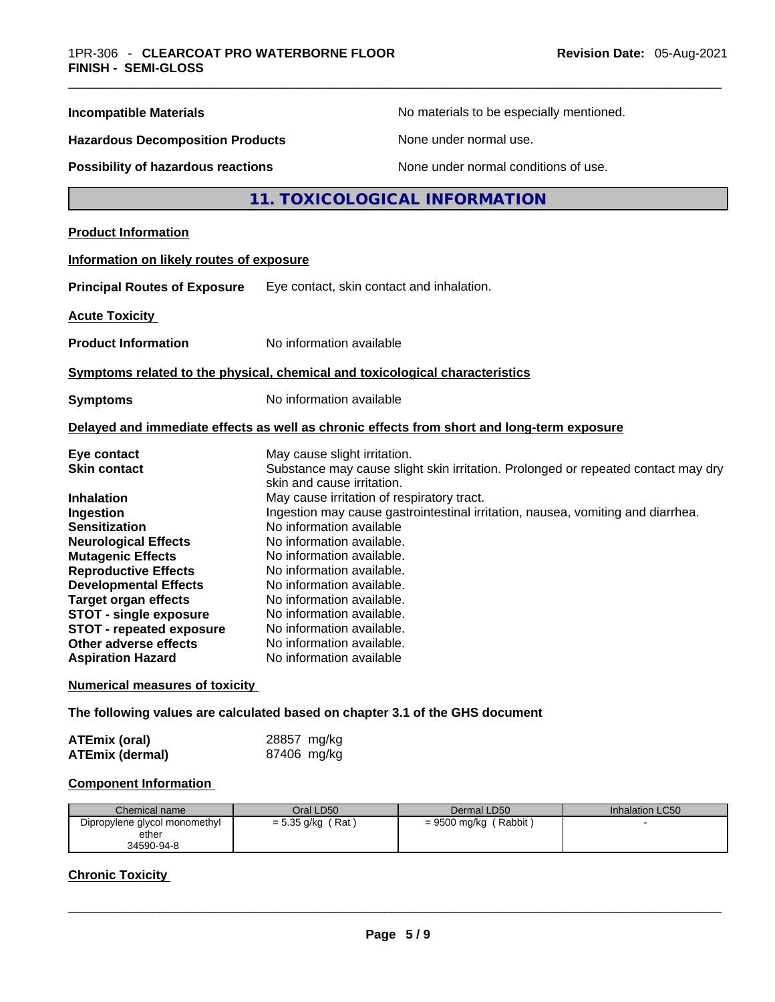| <b>Incompatible Materials</b>            | No materials to be especially mentioned.                                                                        |
|------------------------------------------|-----------------------------------------------------------------------------------------------------------------|
| <b>Hazardous Decomposition Products</b>  | None under normal use.                                                                                          |
| Possibility of hazardous reactions       | None under normal conditions of use.                                                                            |
|                                          | 11. TOXICOLOGICAL INFORMATION                                                                                   |
| <b>Product Information</b>               |                                                                                                                 |
| Information on likely routes of exposure |                                                                                                                 |
| <b>Principal Routes of Exposure</b>      | Eye contact, skin contact and inhalation.                                                                       |
| <b>Acute Toxicity</b>                    |                                                                                                                 |
| <b>Product Information</b>               | No information available                                                                                        |
|                                          | Symptoms related to the physical, chemical and toxicological characteristics                                    |
| <b>Symptoms</b>                          | No information available                                                                                        |
|                                          | Delayed and immediate effects as well as chronic effects from short and long-term exposure                      |
| Eye contact                              | May cause slight irritation.                                                                                    |
| <b>Skin contact</b>                      | Substance may cause slight skin irritation. Prolonged or repeated contact may dry<br>skin and cause irritation. |
| <b>Inhalation</b>                        | May cause irritation of respiratory tract.                                                                      |
| Ingestion                                | Ingestion may cause gastrointestinal irritation, nausea, vomiting and diarrhea.                                 |
| <b>Sensitization</b>                     | No information available                                                                                        |
| <b>Neurological Effects</b>              | No information available.                                                                                       |
| <b>Mutagenic Effects</b>                 | No information available.                                                                                       |
| <b>Reproductive Effects</b>              | No information available.                                                                                       |
| <b>Developmental Effects</b>             | No information available.                                                                                       |
| <b>Target organ effects</b>              | No information available.                                                                                       |
| <b>STOT - single exposure</b>            | No information available.                                                                                       |
| <b>STOT - repeated exposure</b>          | No information available.                                                                                       |
| Other adverse effects                    | No information available.                                                                                       |
| <b>Aspiration Hazard</b>                 | No information available                                                                                        |
| <b>Numerical measures of toxicity</b>    |                                                                                                                 |

**The following values are calculated based on chapter 3.1 of the GHS document**

| ATEmix (oral)          | 28857 mg/kg |
|------------------------|-------------|
| <b>ATEmix (dermal)</b> | 87406 mg/kg |

## **Component Information**

| Chemical name                 | Oral LD50           | Dermal LD50              | <b>Inhalation LC50</b> |
|-------------------------------|---------------------|--------------------------|------------------------|
| Dipropylene glycol monomethyl | (Rat<br>= 5.35 g/kg | (Rabbit)<br>= 9500 mg/kg |                        |
| ether                         |                     |                          |                        |
| 34590-94-8                    |                     |                          |                        |

### **Chronic Toxicity**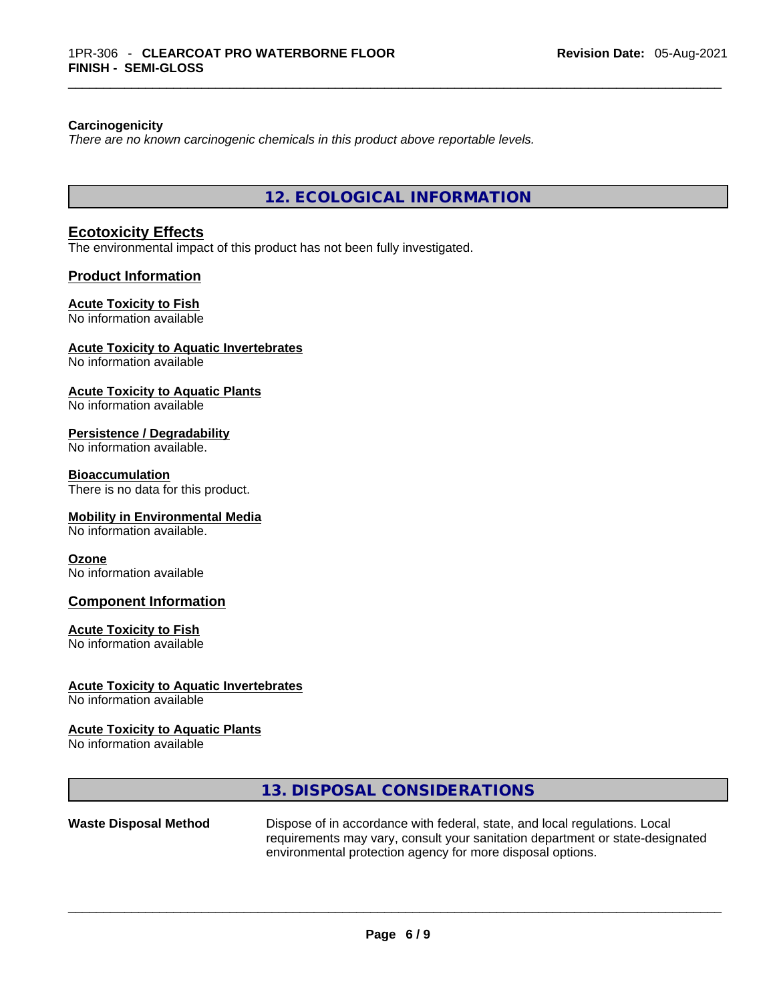### **Carcinogenicity**

*There are no known carcinogenic chemicals in this product above reportable levels.* 

**12. ECOLOGICAL INFORMATION** 

### **Ecotoxicity Effects**

The environmental impact of this product has not been fully investigated.

### **Product Information**

### **Acute Toxicity to Fish**

No information available

### **Acute Toxicity to Aquatic Invertebrates**

No information available

### **Acute Toxicity to Aquatic Plants**

No information available

### **Persistence / Degradability**

No information available.

### **Bioaccumulation**

There is no data for this product.

### **Mobility in Environmental Media**

No information available.

### **Ozone**

No information available

### **Component Information**

### **Acute Toxicity to Fish**

No information available

### **Acute Toxicity to Aquatic Invertebrates**

No information available

### **Acute Toxicity to Aquatic Plants**

No information available

### **13. DISPOSAL CONSIDERATIONS**

# **Waste Disposal Method** Dispose of in accordance with federal, state, and local regulations. Local requirements may vary, consult your sanitation department or state-designated environmental protection agency for more disposal options. \_\_\_\_\_\_\_\_\_\_\_\_\_\_\_\_\_\_\_\_\_\_\_\_\_\_\_\_\_\_\_\_\_\_\_\_\_\_\_\_\_\_\_\_\_\_\_\_\_\_\_\_\_\_\_\_\_\_\_\_\_\_\_\_\_\_\_\_\_\_\_\_\_\_\_\_\_\_\_\_\_\_\_\_\_\_\_\_\_\_\_\_\_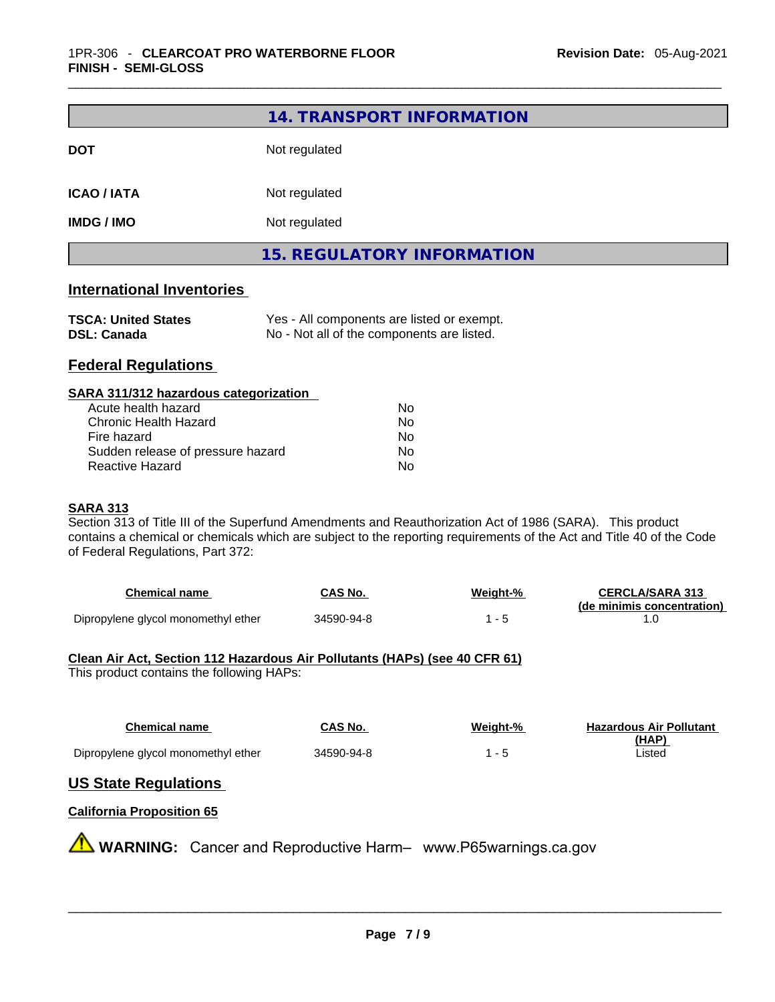|                                                                                                                                                                                                                                                                                                                                                                                                                                                                  | 14. TRANSPORT INFORMATION                                                                |          |                                   |
|------------------------------------------------------------------------------------------------------------------------------------------------------------------------------------------------------------------------------------------------------------------------------------------------------------------------------------------------------------------------------------------------------------------------------------------------------------------|------------------------------------------------------------------------------------------|----------|-----------------------------------|
| <b>DOT</b>                                                                                                                                                                                                                                                                                                                                                                                                                                                       | Not regulated                                                                            |          |                                   |
| <b>ICAO / IATA</b>                                                                                                                                                                                                                                                                                                                                                                                                                                               | Not regulated                                                                            |          |                                   |
| <b>IMDG / IMO</b>                                                                                                                                                                                                                                                                                                                                                                                                                                                | Not regulated                                                                            |          |                                   |
|                                                                                                                                                                                                                                                                                                                                                                                                                                                                  | <b>15. REGULATORY INFORMATION</b>                                                        |          |                                   |
| <b>International Inventories</b>                                                                                                                                                                                                                                                                                                                                                                                                                                 |                                                                                          |          |                                   |
| <b>TSCA: United States</b><br><b>DSL: Canada</b>                                                                                                                                                                                                                                                                                                                                                                                                                 | Yes - All components are listed or exempt.<br>No - Not all of the components are listed. |          |                                   |
| <b>Federal Regulations</b>                                                                                                                                                                                                                                                                                                                                                                                                                                       |                                                                                          |          |                                   |
| SARA 311/312 hazardous categorization<br>Acute health hazard<br><b>Chronic Health Hazard</b><br>Fire hazard<br>Sudden release of pressure hazard<br>Reactive Hazard<br><b>SARA 313</b><br>Section 313 of Title III of the Superfund Amendments and Reauthorization Act of 1986 (SARA). This product<br>contains a chemical or chemicals which are subject to the reporting requirements of the Act and Title 40 of the Code<br>of Federal Regulations, Part 372: | No<br>No<br>No<br>No<br>No                                                               |          |                                   |
| <b>Chemical name</b>                                                                                                                                                                                                                                                                                                                                                                                                                                             | <b>CAS No.</b>                                                                           | Weight-% | <b>CERCLA/SARA 313</b>            |
| Dipropylene glycol monomethyl ether                                                                                                                                                                                                                                                                                                                                                                                                                              | 34590-94-8                                                                               | $1 - 5$  | (de minimis concentration)<br>1.0 |
| Clean Air Act, Section 112 Hazardous Air Pollutants (HAPs) (see 40 CFR 61)<br>This product contains the following HAPs:                                                                                                                                                                                                                                                                                                                                          |                                                                                          |          |                                   |
| <b>Chemical name</b>                                                                                                                                                                                                                                                                                                                                                                                                                                             | <b>CAS No.</b>                                                                           | Weight-% | <b>Hazardous Air Pollutant</b>    |
| Dipropylene glycol monomethyl ether                                                                                                                                                                                                                                                                                                                                                                                                                              | 34590-94-8                                                                               | $1 - 5$  | <u>(HAP)</u><br>Listed            |
|                                                                                                                                                                                                                                                                                                                                                                                                                                                                  |                                                                                          |          |                                   |
| <b>US State Regulations</b>                                                                                                                                                                                                                                                                                                                                                                                                                                      |                                                                                          |          |                                   |
| <b>California Proposition 65</b>                                                                                                                                                                                                                                                                                                                                                                                                                                 |                                                                                          |          |                                   |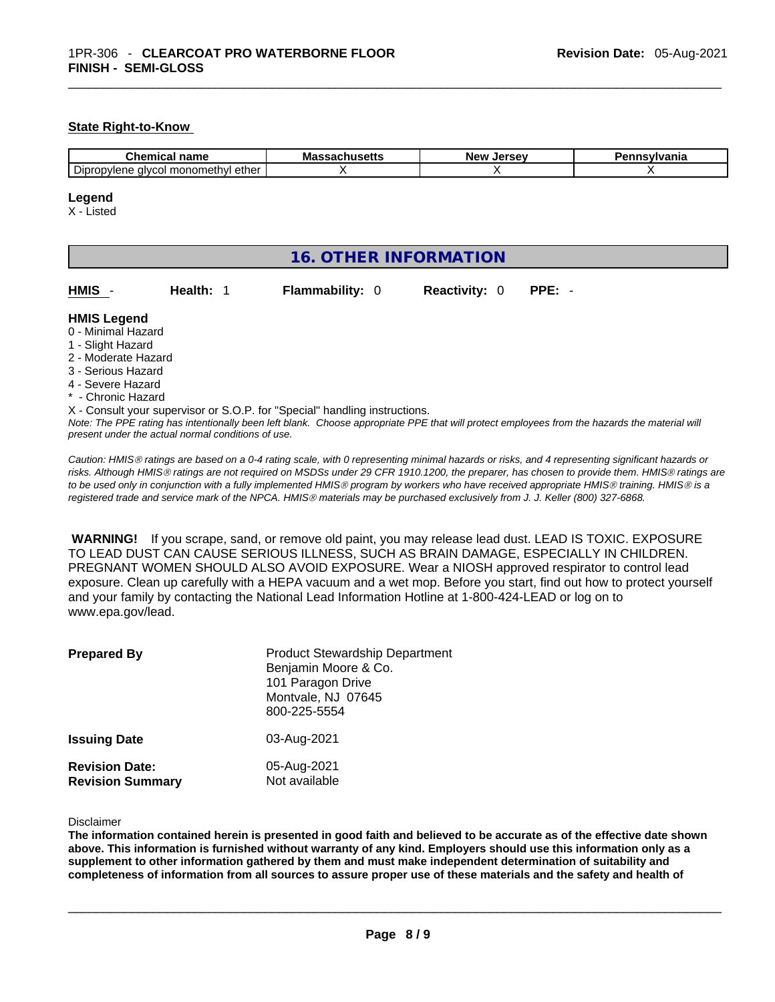### **State Right-to-Know**

| .<br><b>COMPANY</b><br>лане.                        | ма<br>. | Nev<br>Jersey. | .<br>нс |
|-----------------------------------------------------|---------|----------------|---------|
| ether<br>monomethyl<br>יסוט<br>∞opylene ≦<br>alvcol |         |                |         |

### **Legend**

X - Listed

| Health: 1<br><b>Reactivity: 0</b><br>HMIS<br><b>Flammability: 0</b><br>$PPE: -$<br><b>HMIS Legend</b><br>0 - Minimal Hazard<br>1 - Slight Hazard<br>2 - Moderate Hazard<br>3 - Serious Hazard<br>4 - Severe Hazard<br>* - Chronic Hazard<br>X - Consult your supervisor or S.O.P. for "Special" handling instructions.<br>Note: The PPE rating has intentionally been left blank. Choose appropriate PPE that will protect employees from the hazards the material will | <b>16. OTHER INFORMATION</b> |  |  |  |  |  |  |
|-------------------------------------------------------------------------------------------------------------------------------------------------------------------------------------------------------------------------------------------------------------------------------------------------------------------------------------------------------------------------------------------------------------------------------------------------------------------------|------------------------------|--|--|--|--|--|--|
|                                                                                                                                                                                                                                                                                                                                                                                                                                                                         |                              |  |  |  |  |  |  |
| present under the actual normal conditions of use.                                                                                                                                                                                                                                                                                                                                                                                                                      |                              |  |  |  |  |  |  |

*Caution: HMISÒ ratings are based on a 0-4 rating scale, with 0 representing minimal hazards or risks, and 4 representing significant hazards or risks. Although HMISÒ ratings are not required on MSDSs under 29 CFR 1910.1200, the preparer, has chosen to provide them. HMISÒ ratings are to be used only in conjunction with a fully implemented HMISÒ program by workers who have received appropriate HMISÒ training. HMISÒ is a registered trade and service mark of the NPCA. HMISÒ materials may be purchased exclusively from J. J. Keller (800) 327-6868.* 

 **WARNING!** If you scrape, sand, or remove old paint, you may release lead dust. LEAD IS TOXIC. EXPOSURE TO LEAD DUST CAN CAUSE SERIOUS ILLNESS, SUCH AS BRAIN DAMAGE, ESPECIALLY IN CHILDREN. PREGNANT WOMEN SHOULD ALSO AVOID EXPOSURE.Wear a NIOSH approved respirator to control lead exposure. Clean up carefully with a HEPA vacuum and a wet mop. Before you start, find out how to protect yourself and your family by contacting the National Lead Information Hotline at 1-800-424-LEAD or log on to www.epa.gov/lead.

| <b>Prepared By</b>                               | <b>Product Stewardship Department</b><br>Benjamin Moore & Co.<br>101 Paragon Drive<br>Montvale, NJ 07645<br>800-225-5554 |
|--------------------------------------------------|--------------------------------------------------------------------------------------------------------------------------|
| <b>Issuing Date</b>                              | 03-Aug-2021                                                                                                              |
| <b>Revision Date:</b><br><b>Revision Summary</b> | 05-Aug-2021<br>Not available                                                                                             |

Disclaimer

The information contained herein is presented in good faith and believed to be accurate as of the effective date shown above. This information is furnished without warranty of any kind. Employers should use this information only as a **supplement to other information gathered by them and must make independent determination of suitability and** completeness of information from all sources to assure proper use of these materials and the safety and health of